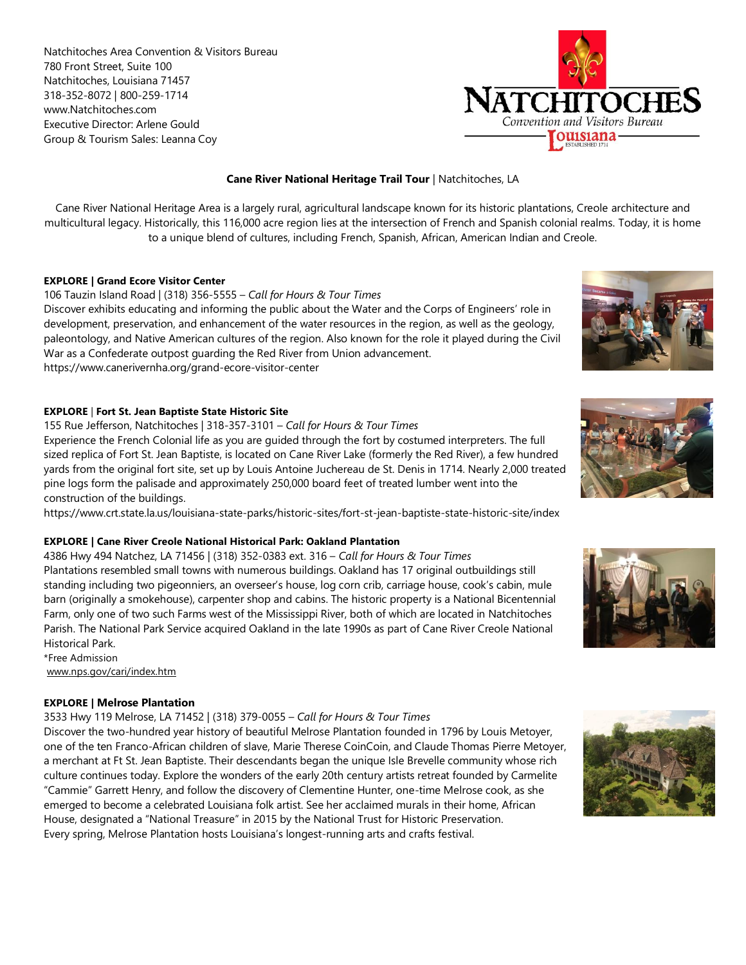Natchitoches Area Convention & Visitors Bureau 780 Front Street, Suite 100 Natchitoches, Louisiana 71457 318-352-8072 | 800-259-1714 www.Natchitoches.com Executive Director: Arlene Gould Group & Tourism Sales: Leanna Coy



# **Cane River National Heritage Trail Tour** | Natchitoches, LA

Cane River National Heritage Area is a largely rural, agricultural landscape known for its historic plantations, Creole architecture and multicultural legacy. Historically, this 116,000 acre region lies at the intersection of French and Spanish colonial realms. Today, it is home to a unique blend of cultures, including French, Spanish, African, American Indian and Creole.

## **EXPLORE | Grand Ecore Visitor Center**

106 Tauzin Island Road | (318) 356-5555 – *Call for Hours & Tour Times* Discover exhibits educating and informing the public about the Water and the Corps of Engineers' role in development, preservation, and enhancement of the water resources in the region, as well as the geology, paleontology, and Native American cultures of the region. Also known for the role it played during the Civil War as a Confederate outpost guarding the Red River from Union advancement. https://www.canerivernha.org/grand-ecore-visitor-center

### **EXPLORE** | **Fort St. Jean Baptiste State Historic Site**

155 Rue Jefferson, Natchitoches | 318-357-3101 – *Call for Hours & Tour Times* Experience the French Colonial life as you are guided through the fort by costumed interpreters. The full sized replica of Fort St. Jean Baptiste, is located on Cane River Lake (formerly the Red River), a few hundred yards from the original fort site, set up by Louis Antoine Juchereau de St. Denis in 1714. Nearly 2,000 treated pine logs form the palisade and approximately 250,000 board feet of treated lumber went into the construction of the buildings.

https://www.crt.state.la.us/louisiana-state-parks/historic-sites/fort-st-jean-baptiste-state-historic-site/index

## **EXPLORE | Cane River Creole National Historical Park: Oakland Plantation**

4386 Hwy 494 Natchez, LA 71456 | (318) 352-0383 ext. 316 – *Call for Hours & Tour Times* Plantations resembled small towns with numerous buildings. Oakland has 17 original outbuildings still standing including two pigeonniers, an overseer's house, log corn crib, carriage house, cook's cabin, mule barn (originally a smokehouse), carpenter shop and cabins. The historic property is a National Bicentennial Farm, only one of two such Farms west of the Mississippi River, both of which are located in Natchitoches Parish. The National Park Service acquired Oakland in the late 1990s as part of Cane River Creole National Historical Park.

\*Free Admission [www.nps.gov/cari/index.htm](http://www.nps.gov/cari/index.htm)

## **EXPLORE | Melrose Plantation**

3533 Hwy 119 Melrose, LA 71452 | (318) 379-0055 – *Call for Hours & Tour Times*

Discover the two-hundred year history of beautiful Melrose Plantation founded in 1796 by Louis Metoyer, one of the ten Franco-African children of slave, Marie Therese CoinCoin, and Claude Thomas Pierre Metoyer, a merchant at Ft St. Jean Baptiste. Their descendants began the unique Isle Brevelle community whose rich culture continues today. Explore the wonders of the early 20th century artists retreat founded by Carmelite "Cammie" Garrett Henry, and follow the discovery of Clementine Hunter, one-time Melrose cook, as she emerged to become a celebrated Louisiana folk artist. See her acclaimed murals in their home, African House, designated a "National Treasure" in 2015 by the National Trust for Historic Preservation. Every spring, Melrose Plantation hosts Louisiana's longest-running arts and crafts festival.